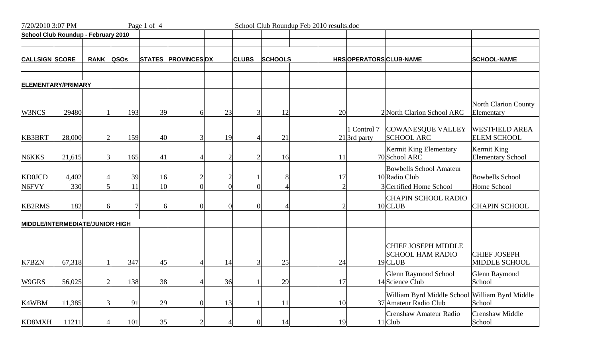| 7/20/2010 3:07 PM                   |        |             |             | Page 1 of 4   |                    |    |                | School Club Roundup Feb 2010 results.doc |                |                               |                                                                         |                                             |
|-------------------------------------|--------|-------------|-------------|---------------|--------------------|----|----------------|------------------------------------------|----------------|-------------------------------|-------------------------------------------------------------------------|---------------------------------------------|
| School Club Roundup - February 2010 |        |             |             |               |                    |    |                |                                          |                |                               |                                                                         |                                             |
|                                     |        |             |             |               |                    |    |                |                                          |                |                               |                                                                         |                                             |
| <b>CALLSIGN SCORE</b>               |        | <b>RANK</b> | <b>QSOs</b> | <b>STATES</b> | <b>PROVINCESDX</b> |    | <b>CLUBS</b>   | <b>SCHOOLS</b>                           |                | HRSOPERATORSCLUB-NAME         |                                                                         | <b>SCHOOL-NAME</b>                          |
| <b>ELEMENTARY/PRIMARY</b>           |        |             |             |               |                    |    |                |                                          |                |                               |                                                                         |                                             |
|                                     |        |             |             |               |                    |    |                |                                          |                |                               |                                                                         |                                             |
| W3NCS                               | 29480  |             | 193         | 39            | 6                  | 23 |                | 12<br>3                                  | 20             |                               | 2 North Clarion School ARC                                              | North Clarion County<br>Elementary          |
| <b>KB3BRT</b>                       | 28,000 |             | 159         | 40            | 3                  | 19 |                | 21                                       |                | I Control 7<br>$21$ 3rd party | <b>COWANESQUE VALLEY</b><br><b>SCHOOL ARC</b>                           | <b>WESTFIELD AREA</b><br><b>ELEM SCHOOL</b> |
| N6KKS                               | 21,615 |             | 165         | 41            |                    |    | $\overline{2}$ | 16                                       | 11             |                               | Kermit King Elementary<br>70 School ARC                                 | Kermit King<br><b>Elementary School</b>     |
| <b>KD0JCD</b>                       | 4,402  |             | 39          | 16            | 2 <sub>1</sub>     |    | $\overline{2}$ | 8                                        | 17             |                               | <b>Bowbells School Amateur</b><br>10 Radio Club                         | <b>Bowbells School</b>                      |
| N6FVY                               | 330    |             | 11          | 10            | $\overline{0}$     |    | $\overline{0}$ | $\theta$                                 | $\overline{2}$ |                               | 3 Certified Home School                                                 | Home School                                 |
| <b>KB2RMS</b>                       | 182    |             |             | 6             | $\Omega$           |    | $\theta$       |                                          | $\mathcal{D}$  |                               | <b>CHAPIN SCHOOL RADIO</b><br>10 CLUB                                   | <b>CHAPIN SCHOOL</b>                        |
| MIDDLE/INTERMEDIATE/JUNIOR HIGH     |        |             |             |               |                    |    |                |                                          |                |                               |                                                                         |                                             |
|                                     |        |             |             |               |                    |    |                |                                          |                |                               |                                                                         |                                             |
| K7BZN                               | 67,318 |             | 347         | 45            | Δ                  | 14 |                | 3<br>25                                  | 24             |                               | <b>CHIEF JOSEPH MIDDLE</b><br><b>SCHOOL HAM RADIO</b><br>19 CLUB        | <b>CHIEF JOSEPH</b><br>MIDDLE SCHOOL        |
| W9GRS                               | 56,025 |             | 138         | 38            | $\overline{A}$     | 36 |                | 29                                       | 17             |                               | <b>Glenn Raymond School</b><br>14 Science Club                          | <b>Glenn Raymond</b><br>School              |
| K4WBM                               | 11,385 |             | 91          | 29            | $\theta$           | 13 |                | 11                                       | 10             |                               | William Byrd Middle School William Byrd Middle<br>37 Amateur Radio Club | School                                      |
| KD8MXH                              | 11211  |             | 101         | 35            | $\overline{2}$     |    | 4              | 14<br>$\overline{0}$                     | 19             |                               | Crenshaw Amateur Radio<br>11 Club                                       | <b>Crenshaw Middle</b><br>School            |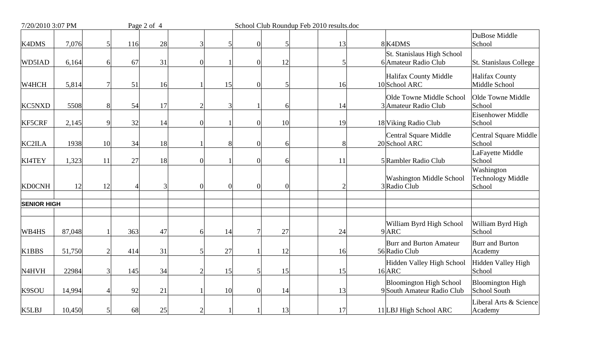| 7/20/2010 3:07 PM  |        |                |     | Page 2 of 4 | School Club Roundup Feb 2010 results.doc |          |                |    |  |                |  |                                                              |                                                  |
|--------------------|--------|----------------|-----|-------------|------------------------------------------|----------|----------------|----|--|----------------|--|--------------------------------------------------------------|--------------------------------------------------|
| <b>K4DMS</b>       | 7,076  | 5              | 116 | 28          | 3                                        |          | $\overline{0}$ |    |  | 13             |  | 8K4DMS                                                       | DuBose Middle<br>School                          |
| WD5IAD             | 6,164  | 6              | 67  | 31          | $\theta$                                 |          | $\overline{0}$ | 12 |  | 5              |  | St. Stanislaus High School<br>6 Amateur Radio Club           | <b>St. Stanislaus College</b>                    |
| W4HCH              | 5,814  | $\overline{7}$ | 51  | 16          |                                          | 15       | $\overline{0}$ |    |  | 16             |  | <b>Halifax County Middle</b><br>10 School ARC                | <b>Halifax County</b><br>Middle School           |
| <b>KC5NXD</b>      | 5508   | 8              | 54  | 17          | $\overline{2}$                           | 3        |                |    |  | 14             |  | Olde Towne Middle School<br>3 Amateur Radio Club             | Olde Towne Middle<br>School                      |
| <b>KF5CRF</b>      | 2,145  | 9              | 32  | 14          | $\overline{0}$                           |          | $\overline{0}$ | 10 |  | 19             |  | 18 Viking Radio Club                                         | Eisenhower Middle<br>School                      |
| KC2ILA             | 1938   | 10             | 34  | 18          |                                          | 8        | $\Omega$       |    |  | 8              |  | <b>Central Square Middle</b><br>20 School ARC                | Central Square Middle<br>School                  |
| <b>KI4TEY</b>      | 1,323  | 11             | 27  | 18          | $\theta$                                 |          | $\overline{0}$ |    |  | 11             |  | 5 Rambler Radio Club                                         | LaFayette Middle<br>School                       |
| <b>KD0CNH</b>      | 12     | 12             |     |             | $\Omega$                                 | $\Omega$ | $\Omega$       |    |  | $\overline{2}$ |  | <b>Washington Middle School</b><br>3 Radio Club              | Washington<br><b>Technology Middle</b><br>School |
| <b>SENIOR HIGH</b> |        |                |     |             |                                          |          |                |    |  |                |  |                                                              |                                                  |
| WB4HS              | 87,048 |                | 363 | 47          | 6                                        | 14       | $\overline{7}$ | 27 |  | 24             |  | William Byrd High School<br>9ARC                             | William Byrd High<br>School                      |
| K1BBS              | 51,750 | $\overline{2}$ | 414 | 31          | 5                                        | 27       |                | 12 |  | 16             |  | <b>Burr and Burton Amateur</b><br>56 Radio Club              | Burr and Burton<br>Academy                       |
| N <sub>4</sub> HVH | 22984  | 3              | 145 | 34          | $\overline{2}$                           | 15       | 5 <sup>1</sup> | 15 |  | 15             |  | Hidden Valley High School<br>16ARC                           | Hidden Valley High<br>School                     |
| K9SOU              | 14,994 | 4              | 92  | 21          |                                          | 10       | $\overline{0}$ | 14 |  | 13             |  | <b>Bloomington High School</b><br>9 South Amateur Radio Club | <b>Bloomington High</b><br>School South          |
| K5LBJ              | 10,450 | 5              | 68  | 25          | $\mathbf{2}$                             |          |                | 13 |  | 17             |  | 11 LBJ High School ARC                                       | Liberal Arts & Science<br>Academy                |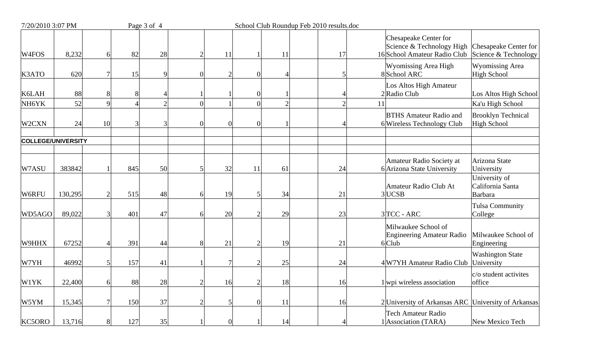| 7/20/2010 3:07 PM         |         |                |     | Page 3 of 4   |                |                |                |                | School Club Roundup Feb 2010 results.doc |                                                                                                                                     |  |  |
|---------------------------|---------|----------------|-----|---------------|----------------|----------------|----------------|----------------|------------------------------------------|-------------------------------------------------------------------------------------------------------------------------------------|--|--|
| W <sub>4FOS</sub>         | 8,232   | 6              | 82  | 28            | $\overline{2}$ | 11             |                | 11             | 17                                       | Chesapeake Center for<br>Science & Technology High<br>Chesapeake Center for<br>16 School Amateur Radio Club<br>Science & Technology |  |  |
| K3ATO                     | 620     |                | 15  | Q             | $\Omega$       | $\overline{2}$ | $\Omega$       |                |                                          | <b>Wyomissing Area High</b><br><b>Wyomissing Area</b><br><b>High School</b><br>8School ARC                                          |  |  |
| K6LAH                     | 88      | 8              |     |               |                |                | $\theta$       |                |                                          | Los Altos High Amateur<br>2 Radio Club<br>Los Altos High School                                                                     |  |  |
| NH6YK                     | 52      | $\overline{Q}$ |     | $\mathcal{D}$ | $\Omega$       |                | $\overline{0}$ | $\overline{2}$ | $\overline{2}$                           | Ka'u High School<br>11                                                                                                              |  |  |
| W2CXN                     | 24      | 10             |     |               | $\Omega$       | $\Omega$       | $\theta$       |                |                                          | <b>BTHS Amateur Radio and</b><br><b>Brooklyn Technical</b><br>6 Wireless Technology Club<br><b>High School</b>                      |  |  |
| <b>COLLEGE/UNIVERSITY</b> |         |                |     |               |                |                |                |                |                                          |                                                                                                                                     |  |  |
| W7ASU                     | 383842  |                | 845 | 50            | 5              | 32             | 11             | 61             | 24                                       | Amateur Radio Society at<br>Arizona State<br>6 Arizona State University<br>University                                               |  |  |
| W6RFU                     | 130,295 |                | 515 | 48            | 6              | 19             |                | 34             | 21                                       | University of<br>Amateur Radio Club At<br>California Santa<br>$3$ UCSB<br><b>Barbara</b>                                            |  |  |
| WD5AGO                    | 89,022  |                | 401 | 47            | 6              | 20             |                | 29             | 23                                       | Tulsa Community<br>$3 TCC - ARC$<br>College                                                                                         |  |  |
| W9HHX                     | 67252   |                | 391 | 44            | 8              | 21             |                | 19             | 21                                       | Milwaukee School of<br>Milwaukee School of<br>Engineering Amateur Radio<br>$6$ Club<br>Engineering                                  |  |  |
| W7YH                      | 46992   |                | 157 | 41            |                | 7              | $\mathcal{D}$  | 25             | 24                                       | <b>Washington State</b><br>4 W7YH Amateur Radio Club University                                                                     |  |  |
| W1YK                      | 22,400  | 6              | 88  | 28            | $\overline{2}$ | 16             | 2              | 18             | 16                                       | $c/\sigma$ student activites<br>$1$ wpi wireless association<br>office                                                              |  |  |
| W5YM                      | 15,345  |                | 150 | 37            | $\overline{2}$ | 5              | $\Omega$       | 11             | 16                                       | 2 University of Arkansas ARC University of Arkansas                                                                                 |  |  |
| KC5ORO                    | 13,716  | 8              | 127 | 35            |                | $\overline{0}$ |                | 14             | 4                                        | <b>Tech Amateur Radio</b><br>1 Association (TARA)<br>New Mexico Tech                                                                |  |  |